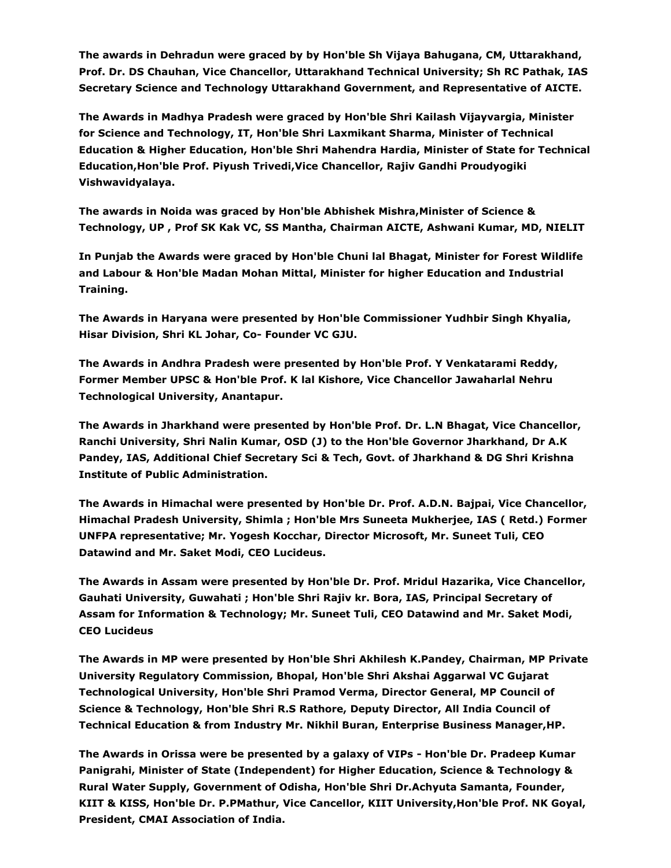**The awards in Dehradun were graced by by Hon'ble Sh Vijaya Bahugana, CM, Uttarakhand, Prof. Dr. DS Chauhan, Vice Chancellor, Uttarakhand Technical University; Sh RC Pathak, IAS Secretary Science and Technology Uttarakhand Government, and Representative of AICTE.**

**The Awards in Madhya Pradesh were graced by Hon'ble Shri Kailash Vijayvargia, Minister for Science and Technology, IT, Hon'ble Shri Laxmikant Sharma, Minister of Technical Education & Higher Education, Hon'ble Shri Mahendra Hardia, Minister of State for Technical Education,Hon'ble Prof. Piyush Trivedi,Vice Chancellor, Rajiv Gandhi Proudyogiki Vishwavidyalaya.**

**The awards in Noida was graced by Hon'ble Abhishek Mishra,Minister of Science & Technology, UP , Prof SK Kak VC, SS Mantha, Chairman AICTE, Ashwani Kumar, MD, NIELIT**

**In Punjab the Awards were graced by Hon'ble Chuni lal Bhagat, Minister for Forest Wildlife and Labour & Hon'ble Madan Mohan Mittal, Minister for higher Education and Industrial Training.**

**The Awards in Haryana were presented by Hon'ble Commissioner Yudhbir Singh Khyalia, Hisar Division, Shri KL Johar, Co- Founder VC GJU.**

**The Awards in Andhra Pradesh were presented by Hon'ble Prof. Y Venkatarami Reddy, Former Member UPSC & Hon'ble Prof. K lal Kishore, Vice Chancellor Jawaharlal Nehru Technological University, Anantapur.**

**The Awards in Jharkhand were presented by Hon'ble Prof. Dr. L.N Bhagat, Vice Chancellor, Ranchi University, Shri Nalin Kumar, OSD (J) to the Hon'ble Governor Jharkhand, Dr A.K Pandey, IAS, Additional Chief Secretary Sci & Tech, Govt. of Jharkhand & DG Shri Krishna Institute of Public Administration.**

**The Awards in Himachal were presented by Hon'ble Dr. Prof. A.D.N. Bajpai, Vice Chancellor, Himachal Pradesh University, Shimla ; Hon'ble Mrs Suneeta Mukherjee, IAS ( Retd.) Former UNFPA representative; Mr. Yogesh Kocchar, Director Microsoft, Mr. Suneet Tuli, CEO Datawind and Mr. Saket Modi, CEO Lucideus.**

**The Awards in Assam were presented by Hon'ble Dr. Prof. Mridul Hazarika, Vice Chancellor, Gauhati University, Guwahati ; Hon'ble Shri Rajiv kr. Bora, IAS, Principal Secretary of Assam for Information & Technology; Mr. Suneet Tuli, CEO Datawind and Mr. Saket Modi, CEO Lucideus**

**The Awards in MP were presented by Hon'ble Shri Akhilesh K.Pandey, Chairman, MP Private University Regulatory Commission, Bhopal, Hon'ble Shri Akshai Aggarwal VC Gujarat Technological University, Hon'ble Shri Pramod Verma, Director General, MP Council of Science & Technology, Hon'ble Shri R.S Rathore, Deputy Director, All India Council of Technical Education & from Industry Mr. Nikhil Buran, Enterprise Business Manager,HP.**

**The Awards in Orissa were be presented by a galaxy of VIPs - Hon'ble Dr. Pradeep Kumar Panigrahi, Minister of State (Independent) for Higher Education, Science & Technology & Rural Water Supply, Government of Odisha, Hon'ble Shri Dr.Achyuta Samanta, Founder, KIIT & KISS, Hon'ble Dr. P.PMathur, Vice Cancellor, KIIT University,Hon'ble Prof. NK Goyal, President, CMAI Association of India.**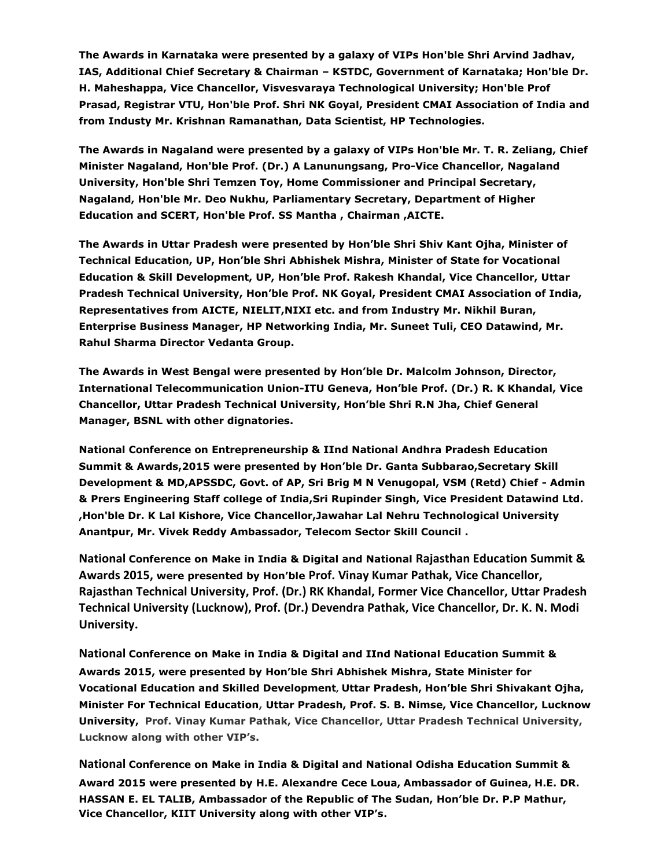**The Awards in Karnataka were presented by a galaxy of VIPs Hon'ble Shri Arvind Jadhav, IAS, Additional Chief Secretary & Chairman – KSTDC, Government of Karnataka; Hon'ble Dr. H. Maheshappa, Vice Chancellor, Visvesvaraya Technological University; Hon'ble Prof Prasad, Registrar VTU, Hon'ble Prof. Shri NK Goyal, President CMAI Association of India and from Industy Mr. Krishnan Ramanathan, Data Scientist, HP Technologies.**

**The Awards in Nagaland were presented by a galaxy of VIPs Hon'ble Mr. T. R. Zeliang, Chief Minister Nagaland, Hon'ble Prof. (Dr.) A Lanunungsang, Pro-Vice Chancellor, Nagaland University, Hon'ble Shri Temzen Toy, Home Commissioner and Principal Secretary, Nagaland, Hon'ble Mr. Deo Nukhu, Parliamentary Secretary, Department of Higher Education and SCERT, Hon'ble Prof. SS Mantha , Chairman ,AICTE.**

**The Awards in Uttar Pradesh were presented by Hon'ble Shri Shiv Kant Ojha, Minister of Technical Education, UP, Hon'ble Shri Abhishek Mishra, Minister of State for Vocational Education & Skill Development, UP, Hon'ble Prof. Rakesh Khandal, Vice Chancellor, Uttar Pradesh Technical University, Hon'ble Prof. NK Goyal, President CMAI Association of India, Representatives from AICTE, NIELIT,NIXI etc. and from Industry Mr. Nikhil Buran, Enterprise Business Manager, HP Networking India, Mr. Suneet Tuli, CEO Datawind, Mr. Rahul Sharma Director Vedanta Group.**

**The Awards in West Bengal were presented by Hon'ble Dr. Malcolm Johnson, Director, International Telecommunication Union-ITU Geneva, Hon'ble Prof. (Dr.) R. K Khandal, Vice Chancellor, Uttar Pradesh Technical University, Hon'ble Shri R.N Jha, Chief General Manager, BSNL with other dignatories.**

**National Conference on Entrepreneurship & IInd National Andhra Pradesh Education Summit & Awards,2015 were presented by Hon'ble Dr. Ganta Subbarao,Secretary Skill Development & MD,APSSDC, Govt. of AP, Sri Brig M N Venugopal, VSM (Retd) Chief - Admin & Prers Engineering Staff college of India,Sri Rupinder Singh, Vice President Datawind Ltd. ,Hon'ble Dr. K Lal Kishore, Vice Chancellor,Jawahar Lal Nehru Technological University Anantpur, Mr. Vivek Reddy Ambassador, Telecom Sector Skill Council .**

**National Conference on Make in India & Digital and National Rajasthan Education Summit & Awards 2015, were presented by Hon'ble Prof. Vinay Kumar Pathak, Vice Chancellor, Rajasthan Technical University, Prof. (Dr.) RK Khandal, Former Vice Chancellor, Uttar Pradesh Technical University (Lucknow), Prof. (Dr.) Devendra Pathak, Vice Chancellor, Dr. K. N. Modi University.**

**National Conference on Make in India & Digital and IInd National Education Summit & Awards 2015, were presented by Hon'ble Shri Abhishek Mishra, State Minister for Vocational Education and Skilled Development, Uttar Pradesh, Hon'ble Shri Shivakant Ojha, Minister For Technical Education, Uttar Pradesh, Prof. S. B. Nimse, Vice Chancellor, Lucknow University, Prof. Vinay Kumar Pathak, Vice Chancellor, Uttar Pradesh Technical University, Lucknow along with other VIP's.**

**National Conference on Make in India & Digital and National Odisha Education Summit & Award 2015 were presented by H.E. Alexandre Cece Loua, Ambassador of Guinea, H.E. DR. HASSAN E. EL TALIB, Ambassador of the Republic of The Sudan, Hon'ble Dr. P.P Mathur, Vice Chancellor, KIIT University along with other VIP's.**